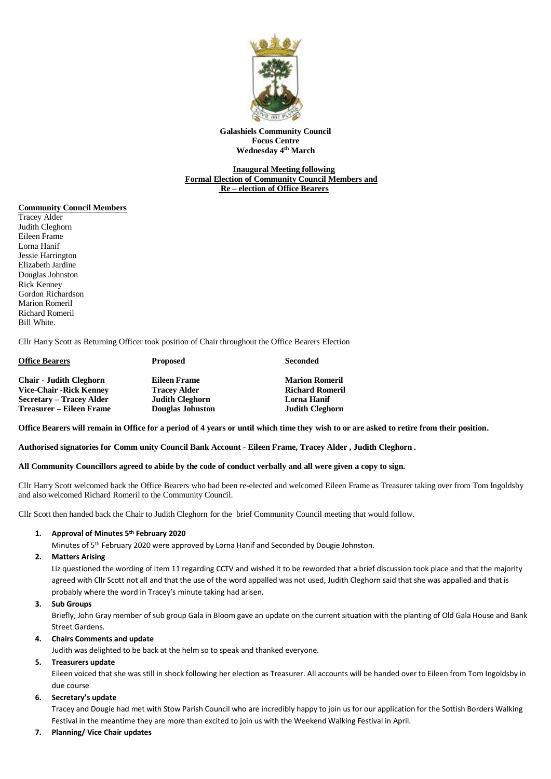

**Galashiels Community Council Focus Centre Wednesday 4 th March**

# **Inaugural Meeting following Formal Election of Community Council Members and Re – election of Office Bearers**

#### **Community Council Members**

Tracey Alder Judith Cleghorn Eileen Frame Lorna Hanif Jessie Harrington Elizabeth Jardine Douglas Johnston Rick Kenney Gordon Richardson Marion Romeril Richard Romeril Bill White.

Cllr Harry Scott as Returning Officer took position of Chair throughout the Office Bearers Election

| <b>Office Bearers</b>           | <b>Proposed</b>         | <b>Seconded</b>        |
|---------------------------------|-------------------------|------------------------|
| <b>Chair - Judith Cleghorn</b>  | Eileen Frame            | <b>Marion Romeril</b>  |
| <b>Vice-Chair - Rick Kenney</b> | <b>Tracey Alder</b>     | <b>Richard Romeril</b> |
| Secretary – Tracey Alder        | <b>Judith Cleghorn</b>  | <b>Lorna Hanif</b>     |
| Treasurer – Eileen Frame        | <b>Douglas Johnston</b> | <b>Judith Cleghorn</b> |

**Office Bearers will remain in Office for a period of 4 years or until which time they wish to or are asked to retire from their position.**

**Authorised signatories for Comm unity Council Bank Account - Eileen Frame, Tracey Alder , Judith Cleghorn .**

**All Community Councillors agreed to abide by the code of conduct verbally and all were given a copy to sign.**

Cllr Harry Scott welcomed back the Office Bearers who had been re-elected and welcomed Eileen Frame as Treasurer taking over from Tom Ingoldsby and also welcomed Richard Romeril to the Community Council.

Cllr Scott then handed back the Chair to Judith Cleghorn for the brief Community Council meeting that would follow.

## **1. Approval of Minutes 5 th February 2020**

Minutes of 5th February 2020 were approved by Lorna Hanif and Seconded by Dougie Johnston.

#### **2. Matters Arising**

Liz questioned the wording of item 11 regarding CCTV and wished it to be reworded that a brief discussion took place and that the majority agreed with Cllr Scott not all and that the use of the word appalled was not used, Judith Cleghorn said that she was appalled and that is probably where the word in Tracey's minute taking had arisen.

#### **3. Sub Groups**

Briefly, John Gray member of sub group Gala in Bloom gave an update on the current situation with the planting of Old Gala House and Bank Street Gardens.

## **4. Chairs Comments and update**

Judith was delighted to be back at the helm so to speak and thanked everyone.

## **5. Treasurers update**

Eileen voiced that she was still in shock following her election as Treasurer. All accounts will be handed over to Eileen from Tom Ingoldsby in due course

#### **6. Secretary's update**

Tracey and Dougie had met with Stow Parish Council who are incredibly happy to join us for our application for the Sottish Borders Walking Festival in the meantime they are more than excited to join us with the Weekend Walking Festival in April.

**7. Planning/ Vice Chair updates**